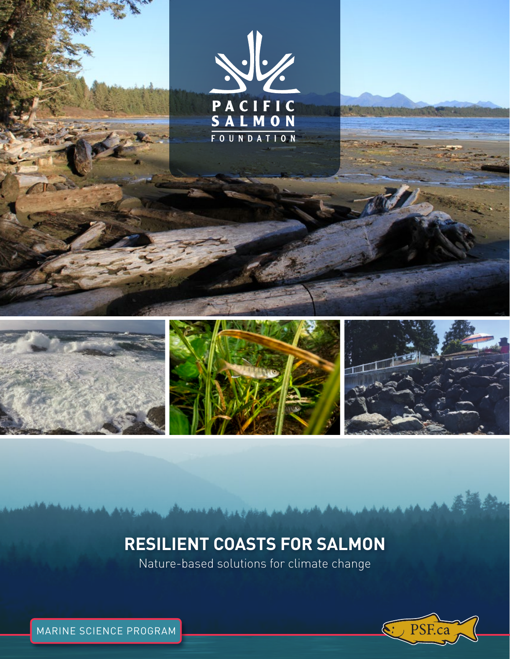

# **RESILIENT COASTS FOR SALMON**

Nature-based solutions for climate change



MARINE SCIENCE PROGRAM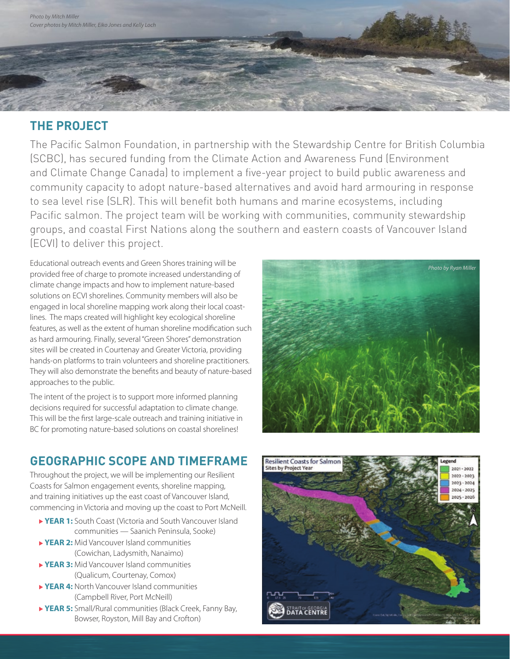# **THE PROJECT**

The Pacific Salmon Foundation, in partnership with the Stewardship Centre for British Columbia (SCBC), has secured funding from the Climate Action and Awareness Fund (Environment and Climate Change Canada) to implement a five-year project to build public awareness and community capacity to adopt nature-based alternatives and avoid hard armouring in response to sea level rise (SLR). This will benefit both humans and marine ecosystems, including Pacific salmon. The project team will be working with communities, community stewardship groups, and coastal First Nations along the southern and eastern coasts of Vancouver Island (ECVI) to deliver this project.

Educational outreach events and Green Shores training will be provided free of charge to promote increased understanding of climate change impacts and how to implement nature-based solutions on ECVI shorelines. Community members will also be engaged in local shoreline mapping work along their local coastlines. The maps created will highlight key ecological shoreline features, as well as the extent of human shoreline modification such as hard armouring. Finally, several "Green Shores" demonstration sites will be created in Courtenay and Greater Victoria, providing hands-on platforms to train volunteers and shoreline practitioners. They will also demonstrate the benefits and beauty of nature-based approaches to the public.

The intent of the project is to support more informed planning decisions required for successful adaptation to climate change. This will be the first large-scale outreach and training initiative in BC for promoting nature-based solutions on coastal shorelines!



# **GEOGRAPHIC SCOPE AND TIMEFRAME**

Throughout the project, we will be implementing our Resilient Coasts for Salmon engagement events, shoreline mapping, and training initiatives up the east coast of Vancouver Island, commencing in Victoria and moving up the coast to Port McNeill.

- **► YEAR 1:** South Coast (Victoria and South Vancouver Island communities — Saanich Peninsula, Sooke)
- **YEAR 2:** Mid Vancouver Island communities (Cowichan, Ladysmith, Nanaimo)
- **YEAR 3:** Mid Vancouver Island communities (Qualicum, Courtenay, Comox)
- ▶ YEAR 4: North Vancouver Island communities (Campbell River, Port McNeill)
- **YEAR 5:** Small/Rural communities (Black Creek, Fanny Bay, Bowser, Royston, Mill Bay and Crofton)

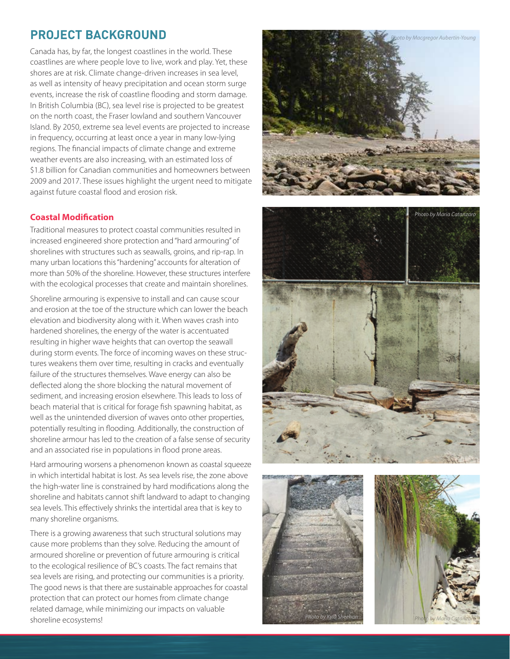### **PROJECT BACKGROUND**

Canada has, by far, the longest coastlines in the world. These coastlines are where people love to live, work and play. Yet, these shores are at risk. Climate change-driven increases in sea level, as well as intensity of heavy precipitation and ocean storm surge events, increase the risk of coastline flooding and storm damage. In British Columbia (BC), sea level rise is projected to be greatest on the north coast, the Fraser lowland and southern Vancouver Island. By 2050, extreme sea level events are projected to increase in frequency, occurring at least once a year in many low-lying regions. The financial impacts of climate change and extreme weather events are also increasing, with an estimated loss of \$1.8 billion for Canadian communities and homeowners between 2009 and 2017. These issues highlight the urgent need to mitigate against future coastal flood and erosion risk.

### **Coastal Modification**

Traditional measures to protect coastal communities resulted in increased engineered shore protection and "hard armouring" of shorelines with structures such as seawalls, groins, and rip-rap. In many urban locations this "hardening" accounts for alteration of more than 50% of the shoreline. However, these structures interfere with the ecological processes that create and maintain shorelines.

Shoreline armouring is expensive to install and can cause scour and erosion at the toe of the structure which can lower the beach elevation and biodiversity along with it. When waves crash into hardened shorelines, the energy of the water is accentuated resulting in higher wave heights that can overtop the seawall during storm events. The force of incoming waves on these structures weakens them over time, resulting in cracks and eventually failure of the structures themselves. Wave energy can also be deflected along the shore blocking the natural movement of sediment, and increasing erosion elsewhere. This leads to loss of beach material that is critical for forage fish spawning habitat, as well as the unintended diversion of waves onto other properties, potentially resulting in flooding. Additionally, the construction of shoreline armour has led to the creation of a false sense of security and an associated rise in populations in flood prone areas.

Hard armouring worsens a phenomenon known as coastal squeeze in which intertidal habitat is lost. As sea levels rise, the zone above the high-water line is constrained by hard modifications along the shoreline and habitats cannot shift landward to adapt to changing sea levels. This effectively shrinks the intertidal area that is key to many shoreline organisms.

There is a growing awareness that such structural solutions may cause more problems than they solve. Reducing the amount of armoured shoreline or prevention of future armouring is critical to the ecological resilience of BC's coasts. The fact remains that sea levels are rising, and protecting our communities is a priority. The good news is that there are sustainable approaches for coastal protection that can protect our homes from climate change related damage, while minimizing our impacts on valuable shoreline ecosystems!